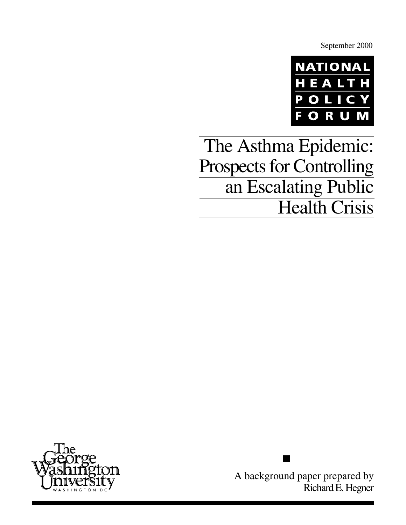September 2000



The Asthma Epidemic: Prospects for Controlling an Escalating Public **Health Crisis** 



A background paper prepared by Richard E. Hegner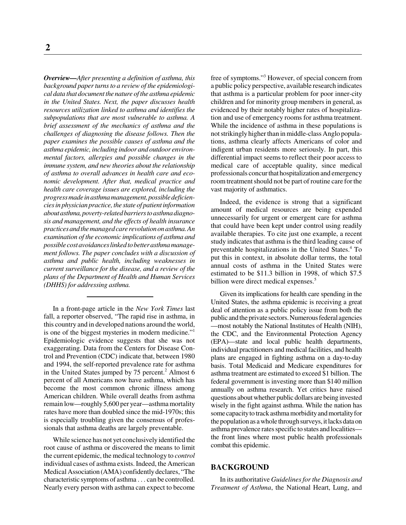*Overview—After presenting a definition of asthma, this background paper turns to a review of the epidemiological data that document the nature of the asthma epidemic in the United States. Next, the paper discusses health resources utilization linked to asthma and identifies the subpopulations that are most vulnerable to asthma. A brief assessment of the mechanics of asthma and the challenges of diagnosing the disease follows. Then the paper examines the possible causes of asthma and the asthma epidemic, including indoor and outdoor environmental factors, allergies and possible changes in the immune system, and new theories about the relationship of asthma to overall advances in health care and economic development. After that, medical practice and health care coverage issues are explored, including the progress made in asthma management, possible deficiencies in physician practice, the state of patient information about asthma, poverty-related barriers to asthma diagnosis and management, and the effects of health insurance practices and the managed care revolution on asthma. An examination of the economic implications of asthma and possible cost avoidances linked to better asthma management follows. The paper concludes with a discussion of asthma and public health, including weaknesses in current surveillance for the disease, and a review of the plans of the Department of Health and Human Services (DHHS) for addressing asthma.*

In a front-page article in the *New York Times* last fall, a reporter observed, "The rapid rise in asthma, in this country and in developed nations around the world, is one of the biggest mysteries in modern medicine."<sup>1</sup> Epidemiologic evidence suggests that she was not exaggerating. Data from the Centers for Disease Control and Prevention (CDC) indicate that, between 1980 and 1994, the self-reported prevalence rate for asthma in the United States jumped by 75 percent.<sup>2</sup> Almost 6 percent of all Americans now have asthma, which has become the most common chronic illness among American children. While overall deaths from asthma remain low—roughly 5,600 per year—asthma mortality rates have more than doubled since the mid-1970s; this is especially troubling given the consensus of professionals that asthma deaths are largely preventable.

While science has not yet conclusively identified the root cause of asthma or discovered the means to limit the current epidemic, the medical technology to *control* individual cases of asthma exists. Indeed, the American Medical Association (AMA) confidently declares, "The characteristic symptoms of asthma . . . can be controlled. Nearly every person with asthma can expect to become

free of symptoms."3 However, of special concern from a public policy perspective, available research indicates that asthma is a particular problem for poor inner-city children and for minority group members in general, as evidenced by their notably higher rates of hospitalization and use of emergency rooms for asthma treatment. While the incidence of asthma in these populations is not strikingly higher than in middle-class Anglo populations, asthma clearly affects Americans of color and indigent urban residents more seriously. In part, this differential impact seems to reflect their poor access to medical care of acceptable quality, since medical professionals concur that hospitalization and emergency room treatment should not be part of routine care for the vast majority of asthmatics.

Indeed, the evidence is strong that a significant amount of medical resources are being expended unnecessarily for urgent or emergent care for asthma that could have been kept under control using readily available therapies. To cite just one example, a recent study indicates that asthma is the third leading cause of preventable hospitalizations in the United States.<sup>4</sup> To put this in context, in absolute dollar terms, the total annual costs of asthma in the United States were estimated to be \$11.3 billion in 1998, of which \$7.5 billion were direct medical expenses.<sup>5</sup>

Given its implications for health care spending in the United States, the asthma epidemic is receiving a great deal of attention as a public policy issue from both the public and the private sectors. Numerous federal agencies —most notably the National Institutes of Health (NIH), the CDC, and the Environmental Protection Agency (EPA)—state and local public health departments, individual practitioners and medical facilities, and health plans are engaged in fighting asthma on a day-to-day basis. Total Medicaid and Medicare expenditures for asthma treatment are estimated to exceed \$1 billion. The federal government is investing more than \$140 million annually on asthma research. Yet critics have raised questions about whether public dollars are being invested wisely in the fight against asthma. While the nation has some capacity to track asthma morbidity and mortality for the population as a whole through surveys, it lacks data on asthma prevalence rates specific to states and localities the front lines where most public health professionals combat this epidemic.

#### **BACKGROUND**

In its authoritative *Guidelines for the Diagnosis and Treatment of Asthma*, the National Heart, Lung, and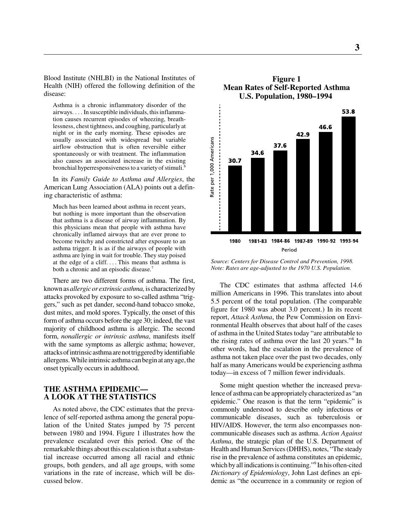Blood Institute (NHLBI) in the National Institutes of Health (NIH) offered the following definition of the disease:

Asthma is a chronic inflammatory disorder of the airways. . . . In susceptible individuals, this inflammation causes recurrent episodes of wheezing, breathlessness, chest tightness, and coughing, particularly at night or in the early morning. These episodes are usually associated with widespread but variable airflow obstruction that is often reversible either spontaneously or with treatment. The inflammation also causes an associated increase in the existing bronchial hyperresponsiveness to a variety of stimuli.<sup>6</sup>

In its *Family Guide to Asthma and Allergies*, the American Lung Association (ALA) points out a defining characteristic of asthma:

Much has been learned about asthma in recent years, but nothing is more important than the observation that asthma is a disease of airway inflammation. By this physicians mean that people with asthma have chronically inflamed airways that are ever prone to become twitchy and constricted after exposure to an asthma trigger. It is as if the airways of people with asthma are lying in wait for trouble. They stay poised at the edge of a cliff. . . . This means that asthma is both a chronic and an episodic disease.<sup>7</sup>

There are two different forms of asthma. The first, known as *allergic or extrinsic asthma,* is characterized by attacks provoked by exposure to so-called asthma "triggers," such as pet dander, second-hand tobacco smoke, dust mites, and mold spores. Typically, the onset of this form of asthma occurs before the age 30; indeed, the vast majority of childhood asthma is allergic. The second form, *nonallergic or intrinsic asthma*, manifests itself with the same symptoms as allergic asthma; however, attacks of intrinsic asthma are not triggered by identifiable allergens. While intrinsic asthma can begin at any age, the onset typically occurs in adulthood.

# **THE ASTHMA EPIDEMIC— A LOOK AT THE STATISTICS**

As noted above, the CDC estimates that the prevalence of self-reported asthma among the general population of the United States jumped by 75 percent between 1980 and 1994. Figure 1 illustrates how the prevalence escalated over this period. One of the remarkable things about this escalation is that a substantial increase occurred among all racial and ethnic groups, both genders, and all age groups, with some variations in the rate of increase, which will be discussed below.



**Figure 1 Mean Rates of Self-Reported Asthma U.S. Population, 1980–1994**



The CDC estimates that asthma affected 14.6 million Americans in 1996. This translates into about 5.5 percent of the total population. (The comparable figure for 1980 was about 3.0 percent.) In its recent report, *Attack Asthma*, the Pew Commission on Environmental Health observes that about half of the cases of asthma in the United States today "are attributable to the rising rates of asthma over the last 20 years."8 In other words, had the escalation in the prevalence of asthma not taken place over the past two decades, only half as many Americans would be experiencing asthma today—in excess of 7 million fewer individuals.

Some might question whether the increased prevalence of asthma can be appropriately characterized as "an epidemic." One reason is that the term "epidemic" is commonly understood to describe only infectious or communicable diseases, such as tuberculosis or HIV/AIDS. However, the term also encompasses noncommunicable diseases such as asthma. *Action Against Asthma*, the strategic plan of the U.S. Department of Health and Human Services (DHHS), notes, "The steady rise in the prevalence of asthma constitutes an epidemic, which by all indications is continuing."<sup>9</sup> In his often-cited *Dictionary of Epidemiology*, John Last defines an epidemic as "the occurrence in a community or region of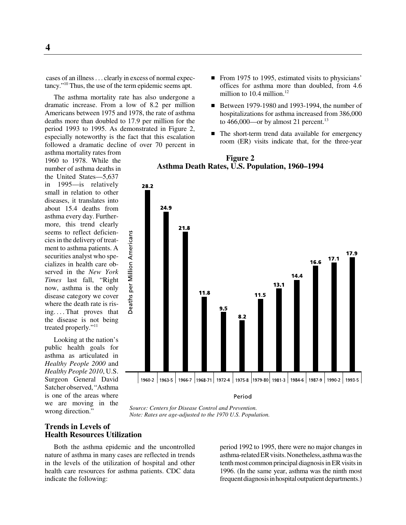cases of an illness. . . clearly in excess of normal expectancy."10 Thus, the use of the term epidemic seems apt.

The asthma mortality rate has also undergone a dramatic increase. From a low of 8.2 per million Americans between 1975 and 1978, the rate of asthma deaths more than doubled to 17.9 per million for the period 1993 to 1995. As demonstrated in Figure 2, especially noteworthy is the fact that this escalation followed a dramatic decline of over 70 percent in

asthma mortality rates from 1960 to 1978. While the number of asthma deaths in the United States—5,637 in 1995—is relatively small in relation to other diseases, it translates into about 15.4 deaths from asthma every day. Furthermore, this trend clearly seems to reflect deficiencies in the delivery of treatment to asthma patients. A securities analyst who specializes in health care observed in the *New York Times* last fall, "Right now, asthma is the only disease category we cover where the death rate is rising. . . . That proves that the disease is not being treated properly."<sup>11</sup>

Looking at the nation's public health goals for asthma as articulated in *Healthy People 2000* and *Healthy People 2010*, U.S. Surgeon General David Satcher observed, "Asthma is one of the areas where we are moving in the wrong direction."

- From 1975 to 1995, estimated visits to physicians' offices for asthma more than doubled, from 4.6 million to  $10.4$  million.<sup>12</sup>
- Between 1979-1980 and 1993-1994, the number of hospitalizations for asthma increased from 386,000 to 466,000—or by almost 21 percent.<sup>13</sup>
- The short-term trend data available for emergency room (ER) visits indicate that, for the three-year



**Figure 2 Asthma Death Rates, U.S. Population, 1960–1994**

*Source: Centers for Disease Control and Prevention. Note: Rates are age-adjusted to the 1970 U.S. Population.*

# **Trends in Levels of Health Resources Utilization**

Both the asthma epidemic and the uncontrolled nature of asthma in many cases are reflected in trends in the levels of the utilization of hospital and other health care resources for asthma patients. CDC data indicate the following:

period 1992 to 1995, there were no major changes in asthma-related ER visits. Nonetheless, asthma was the tenth most common principal diagnosis in ER visits in 1996. (In the same year, asthma was the ninth most frequent diagnosis in hospital outpatient departments.)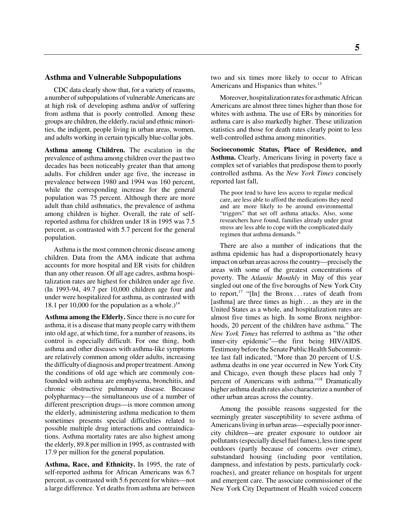## **Asthma and Vulnerable Subpopulations**

CDC data clearly show that, for a variety of reasons, a number of subpopulations of vulnerable Americans are at high risk of developing asthma and/or of suffering from asthma that is poorly controlled. Among these groups are children, the elderly, racial and ethnic minorities, the indigent, people living in urban areas, women, and adults working in certain typically blue-collar jobs.

**Asthma among Children.** The escalation in the prevalence of asthma among children over the past two decades has been noticeably greater than that among adults. For children under age five, the increase in prevalence between 1980 and 1994 was 160 percent, while the corresponding increase for the general population was 75 percent. Although there are more adult than child asthmatics, the prevalence of asthma among children is higher. Overall, the rate of selfreported asthma for children under 18 in 1995 was 7.5 percent, as contrasted with 5.7 percent for the general population.

Asthma is the most common chronic disease among children. Data from the AMA indicate that asthma accounts for more hospital and ER visits for children than any other reason. Of all age cadres, asthma hospitalization rates are highest for children under age five. (In 1993-94, 49.7 per 10,000 children age four and under were hospitalized for asthma, as contrasted with 18.1 per 10,000 for the population as a whole.)<sup>14</sup>

**Asthma among the Elderly.** Since there is no cure for asthma, it is a disease that many people carry with them into old age, at which time, for a number of reasons, its control is especially difficult. For one thing, both asthma and other diseases with asthma-like symptoms are relatively common among older adults, increasing the difficulty of diagnosis and proper treatment. Among the conditions of old age which are commonly confounded with asthma are emphysema, bronchitis, and chronic obstructive pulmonary disease. Because polypharmacy—the simultaneous use of a number of different prescription drugs—is more common among the elderly, administering asthma medication to them sometimes presents special difficulties related to possible multiple drug interactions and contraindications. Asthma mortality rates are also highest among the elderly, 89.8 per million in 1995, as contrasted with 17.9 per million for the general population.

**Asthma, Race, and Ethnicity.** In 1995, the rate of self-reported asthma for African Americans was 6.7 percent, as contrasted with 5.6 percent for whites—not a large difference. Yet deaths from asthma are between

two and six times more likely to occur to African Americans and Hispanics than whites.<sup>15</sup>

Moreover, hospitalization rates for asthmatic African Americans are almost three times higher than those for whites with asthma. The use of ERs by minorities for asthma care is also markedly higher. These utilization statistics and those for death rates clearly point to less well-controlled asthma among minorities.

**Socioeconomic Status, Place of Residence, and Asthma.** Clearly, Americans living in poverty face a complex set of variables that predispose them to poorly controlled asthma. As the *New York Times* concisely reported last fall,

The poor tend to have less access to regular medical care, are less able to afford the medications they need and are more likely to be around environmental "triggers" that set off asthma attacks. Also, some researchers have found, families already under great stress are less able to cope with the complicated daily regimen that asthma demands.16

There are also a number of indications that the asthma epidemic has had a disproportionately heavy impact on urban areas across the country—precisely the areas with some of the greatest concentrations of poverty. The *Atlantic Monthly* in May of this year singled out one of the five boroughs of New York City to report,<sup>17</sup> "[In] the Bronx ... rates of death from [asthma] are three times as high . . . as they are in the United States as a whole, and hospitalization rates are almost five times as high. In some Bronx neighborhoods, 20 percent of the children have asthma." The *New York Times* has referred to asthma as "the other inner-city epidemic"—the first being HIV/AIDS. Testimony before the Senate Public Health Subcommittee last fall indicated, "More than 20 percent of U.S. asthma deaths in one year occurred in New York City and Chicago, even though these places had only 7 percent of Americans with asthma."18 Dramatically higher asthma death rates also characterize a number of other urban areas across the country.

Among the possible reasons suggested for the seemingly greater susceptibility to severe asthma of Americans living in urban areas—especially poor innercity children—are greater exposure to outdoor air pollutants (especially diesel fuel fumes), less time spent outdoors (partly because of concerns over crime), substandard housing (including poor ventilation, dampness, and infestation by pests, particularly cockroaches), and greater reliance on hospitals for urgent and emergent care. The associate commissioner of the New York City Department of Health voiced concern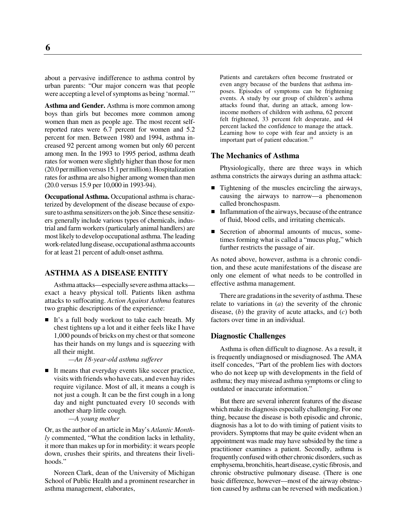about a pervasive indifference to asthma control by urban parents: "Our major concern was that people were accepting a level of symptoms as being 'normal.'"

**Asthma and Gender.** Asthma is more common among boys than girls but becomes more common among women than men as people age. The most recent selfreported rates were 6.7 percent for women and 5.2 percent for men. Between 1980 and 1994, asthma increased 92 percent among women but only 60 percent among men. In the 1993 to 1995 period, asthma death rates for women were slightly higher than those for men (20.0 per million versus 15.1 per million). Hospitalization rates for asthma are also higher among women than men (20.0 versus 15.9 per 10,000 in 1993-94).

**Occupational Asthma.** Occupational asthma is characterized by development of the disease because of exposure to asthma sensitizers on the job. Since these sensitizers generally include various types of chemicals, industrial and farm workers (particularly animal handlers) are most likely to develop occupational asthma. The leading work-related lung disease, occupational asthma accounts for at least 21 percent of adult-onset asthma.

# **ASTHMA AS A DISEASE ENTITY**

Asthma attacks—especially severe asthma attacks exact a heavy physical toll. Patients liken asthma attacks to suffocating. *Action Against Asthma* features two graphic descriptions of the experience:

It's a full body workout to take each breath. My chest tightens up a lot and it either feels like I have 1,000 pounds of bricks on my chest or that someone has their hands on my lungs and is squeezing with all their might.

*—An 18-year-old asthma sufferer*

It means that everyday events like soccer practice, visits with friends who have cats, and even hay rides require vigilance. Most of all, it means a cough is not just a cough. It can be the first cough in a long day and night punctuated every 10 seconds with another sharp little cough.

*—A young mother*

Or, as the author of an article in May's *Atlantic Monthly* commented, "What the condition lacks in lethality, it more than makes up for in morbidity: it wears people down, crushes their spirits, and threatens their livelihoods."

Noreen Clark, dean of the University of Michigan School of Public Health and a prominent researcher in asthma management, elaborates,

Patients and caretakers often become frustrated or even angry because of the burdens that asthma imposes. Episodes of symptoms can be frightening events. A study by our group of children's asthma attacks found that, during an attack, among lowincome mothers of children with asthma, 62 percent felt frightened, 33 percent felt desperate, and 44 percent lacked the confidence to manage the attack. Learning how to cope with fear and anxiety is an important part of patient education.<sup>19</sup>

#### **The Mechanics of Asthma**

Physiologically, there are three ways in which asthma constricts the airways during an asthma attack:

- Tightening of the muscles encircling the airways, causing the airways to narrow—a phenomenon called bronchospasm.
- Inflammation of the airways, because of the entrance of fluid, blood cells, and irritating chemicals.
- Secretion of abnormal amounts of mucus, sometimes forming what is called a "mucus plug," which further restricts the passage of air.

As noted above, however, asthma is a chronic condition, and these acute manifestations of the disease are only one element of what needs to be controlled in effective asthma management.

There are gradations in the severity of asthma. These relate to variations in (*a*) the severity of the chronic disease, (*b*) the gravity of acute attacks, and (*c*) both factors over time in an individual.

#### **Diagnostic Challenges**

Asthma is often difficult to diagnose. As a result, it is frequently undiagnosed or misdiagnosed. The AMA itself concedes, "Part of the problem lies with doctors who do not keep up with developments in the field of asthma; they may misread asthma symptoms or cling to outdated or inaccurate information."

But there are several inherent features of the disease which make its diagnosis especially challenging. For one thing, because the disease is both episodic and chronic, diagnosis has a lot to do with timing of patient visits to providers. Symptoms that may be quite evident when an appointment was made may have subsided by the time a practitioner examines a patient. Secondly, asthma is frequently confused with other chronic disorders, such as emphysema, bronchitis, heart disease, cystic fibrosis, and chronic obstructive pulmonary disease. (There is one basic difference, however—most of the airway obstruction caused by asthma can be reversed with medication.)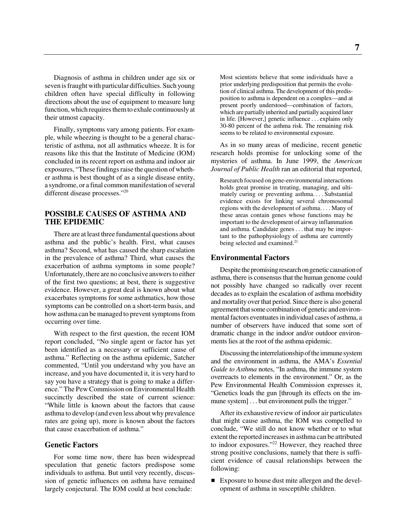Diagnosis of asthma in children under age six or seven is fraught with particular difficulties. Such young children often have special difficulty in following directions about the use of equipment to measure lung function, which requires them to exhale continuously at their utmost capacity.

Finally, symptoms vary among patients. For example, while wheezing is thought to be a general characteristic of asthma, not all asthmatics wheeze. It is for reasons like this that the Institute of Medicine (IOM) concluded in its recent report on asthma and indoor air exposures, "These findings raise the question of whether asthma is best thought of as a single disease entity, a syndrome, or a final common manifestation of several different disease processes."20

# **POSSIBLE CAUSES OF ASTHMA AND THE EPIDEMIC**

There are at least three fundamental questions about asthma and the public's health. First, what causes asthma? Second, what has caused the sharp escalation in the prevalence of asthma? Third, what causes the exacerbation of asthma symptoms in some people? Unfortunately, there are no conclusive answers to either of the first two questions; at best, there is suggestive evidence. However, a great deal is known about what exacerbates symptoms for some asthmatics, how those symptoms can be controlled on a short-term basis, and how asthma can be managed to prevent symptoms from occurring over time.

With respect to the first question, the recent IOM report concluded, "No single agent or factor has yet been identified as a necessary or sufficient cause of asthma." Reflecting on the asthma epidemic, Satcher commented, "Until you understand why you have an increase, and you have documented it, it is very hard to say you have a strategy that is going to make a difference." The Pew Commission on Environmental Health succinctly described the state of current science: "While little is known about the factors that cause asthma to develop (and even less about why prevalence rates are going up), more is known about the factors that cause exacerbation of asthma."

### **Genetic Factors**

For some time now, there has been widespread speculation that genetic factors predispose some individuals to asthma. But until very recently, discussion of genetic influences on asthma have remained largely conjectural. The IOM could at best conclude:

Most scientists believe that some individuals have a prior underlying predisposition that permits the evolution of clinical asthma. The development of this predisposition to asthma is dependent on a complex—and at present poorly understood—combination of factors, which are partially inherited and partially acquired later in life. [However,] genetic influence . . . explains only 30-80 percent of the asthma risk. The remaining risk seems to be related to environmental exposure.

As in so many areas of medicine, recent genetic research holds promise for unlocking some of the mysteries of asthma. In June 1999, the *American Journal of Public Health* ran an editorial that reported,

Research focused on gene-environmental interactions holds great promise in treating, managing, and ultimately curing or preventing asthma. . . . Substantial evidence exists for linking several chromosomal regions with the development of asthma. . . . Many of these areas contain genes whose functions may be important to the development of airway inflammation and asthma. Candidate genes . . . that may be important to the pathophysiology of asthma are currently being selected and examined.<sup>21</sup>

#### **Environmental Factors**

Despite the promising research on genetic causation of asthma, there is consensus that the human genome could not possibly have changed so radically over recent decades as to explain the escalation of asthma morbidity and mortality over that period. Since there is also general agreement that some combination of genetic and environmental factors eventuates in individual cases of asthma, a number of observers have induced that some sort of dramatic change in the indoor and/or outdoor environments lies at the root of the asthma epidemic.

Discussing the interrelationship of the immune system and the environment in asthma, the AMA's *Essential Guide to Asthma* notes, "In asthma, the immune system overreacts to elements in the environment." Or, as the Pew Environmental Health Commission expresses it, "Genetics loads the gun [through its effects on the immune system] . . . but environment pulls the trigger."

After its exhaustive review of indoor air particulates that might cause asthma, the IOM was compelled to conclude, "We still do not know whether or to what extent the reported increases in asthma can be attributed to indoor exposures."<sup>22</sup> However, they reached three strong positive conclusions, namely that there is sufficient evidence of causal relationships between the following:

Exposure to house dust mite allergen and the development of asthma in susceptible children.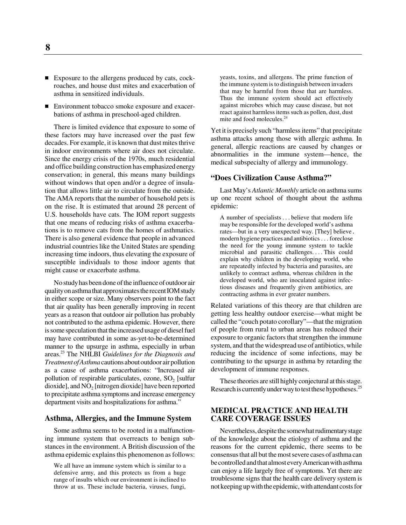- Exposure to the allergens produced by cats, cockroaches, and house dust mites and exacerbation of asthma in sensitized individuals.
- $\blacksquare$  Environment tobacco smoke exposure and exacerbations of asthma in preschool-aged children.

There is limited evidence that exposure to some of these factors may have increased over the past few decades. For example, it is known that dust mites thrive in indoor environments where air does not circulate. Since the energy crisis of the 1970s, much residential and office building construction has emphasized energy conservation; in general, this means many buildings without windows that open and/or a degree of insulation that allows little air to circulate from the outside. The AMA reports that the number of household pets is on the rise. It is estimated that around 28 percent of U.S. households have cats. The IOM report suggests that one means of reducing risks of asthma exacerbations is to remove cats from the homes of asthmatics. There is also general evidence that people in advanced industrial countries like the United States are spending increasing time indoors, thus elevating the exposure of susceptible individuals to those indoor agents that might cause or exacerbate asthma.

No study has been done of the influence of outdoor air quality on asthma that approximates the recent IOM study in either scope or size. Many observers point to the fact that air quality has been generally improving in recent years as a reason that outdoor air pollution has probably not contributed to the asthma epidemic. However, there is some speculation that the increased usage of diesel fuel may have contributed in some as-yet-to-be-determined manner to the upsurge in asthma, especially in urban areas.23 The NHLBI *Guidelines for the Diagnosis and Treatment of Asthma* cautions about outdoor air pollution as a cause of asthma exacerbations: "Increased air pollution of respirable particulates, ozone,  $SO<sub>2</sub>$  [sulfur dioxide], and  $NO<sub>2</sub>$  [nitrogen dioxide] have been reported to precipitate asthma symptoms and increase emergency department visits and hospitalizations for asthma."

#### **Asthma, Allergies, and the Immune System**

Some asthma seems to be rooted in a malfunctioning immune system that overreacts to benign substances in the environment. A British discussion of the asthma epidemic explains this phenomenon as follows:

yeasts, toxins, and allergens. The prime function of the immune system is to distinguish between invaders that may be harmful from those that are harmless. Thus the immune system should act effectively against microbes which may cause disease, but not react against harmless items such as pollen, dust, dust mite and food molecules.24

Yet it is precisely such "harmless items" that precipitate asthma attacks among those with allergic asthma. In general, allergic reactions are caused by changes or abnormalities in the immune system—hence, the medical subspecialty of allergy and immunology.

### **"Does Civilization Cause Asthma?"**

Last May's *Atlantic Monthly* article on asthma sums up one recent school of thought about the asthma epidemic:

A number of specialists . . . believe that modern life may be responsible for the developed world's asthma rates—but in a very unexpected way. [They] believe . modern hygiene practices and antibiotics . . . foreclose the need for the young immune system to tackle microbial and parasitic challenges. . . . This could explain why children in the developing world, who are repeatedly infected by bacteria and parasites, are unlikely to contract asthma, whereas children in the developed world, who are inoculated against infectious diseases and frequently given antibiotics, are contracting asthma in ever greater numbers.

Related variations of this theory are that children are getting less healthy outdoor exercise—what might be called the "couch potato corollary"—that the migration of people from rural to urban areas has reduced their exposure to organic factors that strengthen the immune system, and that the widespread use of antibiotics, while reducing the incidence of some infections, may be contributing to the upsurge in asthma by retarding the development of immune responses.

These theories are still highly conjectural at this stage. Research is currently under way to test these hypotheses.<sup>25</sup>

## **MEDICAL PRACTICE AND HEALTH CARE COVERAGE ISSUES**

Nevertheless, despite the somewhat rudimentary stage of the knowledge about the etiology of asthma and the reasons for the current epidemic, there seems to be consensus that all but the most severe cases of asthma can be controlled and that almost every American with asthma can enjoy a life largely free of symptoms. Yet there are troublesome signs that the health care delivery system is not keeping up with the epidemic, with attendant costs for

We all have an immune system which is similar to a defensive army, and this protects us from a huge range of insults which our environment is inclined to throw at us. These include bacteria, viruses, fungi,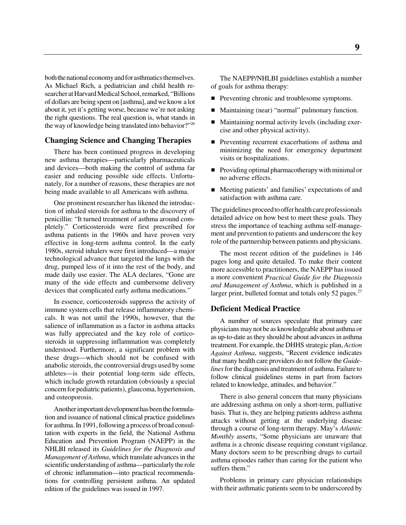both the national economy and for asthmatics themselves. As Michael Rich, a pediatrician and child health researcher at Harvard Medical School, remarked, "Billions of dollars are being spent on [asthma], and we know a lot about it, yet it's getting worse, because we're not asking the right questions. The real question is, what stands in the way of knowledge being translated into behavior?"26

## **Changing Science and Changing Therapies**

There has been continued progress in developing new asthma therapies—particularly pharmaceuticals and devices—both making the control of asthma far easier and reducing possible side effects. Unfortunately, for a number of reasons, these therapies are not being made available to all Americans with asthma.

One prominent researcher has likened the introduction of inhaled steroids for asthma to the discovery of penicillin: "It turned treatment of asthma around completely." Corticosteroids were first prescribed for asthma patients in the 1960s and have proven very effective in long-term asthma control. In the early 1980s, steroid inhalers were first introduced—a major technological advance that targeted the lungs with the drug, pumped less of it into the rest of the body, and made daily use easier. The ALA declares, "Gone are many of the side effects and cumbersome delivery devices that complicated early asthma medications."

In essence, corticosteroids suppress the activity of immune system cells that release inflammatory chemicals. It was not until the 1990s, however, that the salience of inflammation as a factor in asthma attacks was fully appreciated and the key role of corticosteroids in suppressing inflammation was completely understood. Furthermore, a significant problem with these drugs—which should not be confused with anabolic steroids, the controversial drugs used by some athletes—is their potential long-term side effects, which include growth retardation (obviously a special concern for pediatric patients), glaucoma, hypertension, and osteoporosis.

Another important development has been the formulation and issuance of national clinical practice guidelines for asthma. In 1991, following a process of broad consultation with experts in the field, the National Asthma Education and Prevention Program (NAEPP) in the NHLBI released its *Guidelines for the Diagnosis and Management of Asthma*, which translate advances in the scientific understanding of asthma—particularly the role of chronic inflammation—into practical recommendations for controlling persistent asthma. An updated edition of the guidelines was issued in 1997.

The NAEPP/NHLBI guidelines establish a number of goals for asthma therapy:

- Preventing chronic and troublesome symptoms.
- Maintaining (near) "normal" pulmonary function.
- Maintaining normal activity levels (including exercise and other physical activity).
- **Preventing recurrent exacerbations of asthma and** minimizing the need for emergency department visits or hospitalizations.
- **Providing optimal pharmacotherapy with minimal or** no adverse effects.
- Meeting patients' and families' expectations of and satisfaction with asthma care.

The guidelines proceed to offer health care professionals detailed advice on how best to meet these goals. They stress the importance of teaching asthma self-management and prevention to patients and underscore the key role of the partnership between patients and physicians.

The most recent edition of the guidelines is 146 pages long and quite detailed. To make their content more accessible to practitioners, the NAEPP has issued a more convenient *Practical Guide for the Diagnosis and Management of Asthma*, which is published in a larger print, bulleted format and totals only 52 pages. $27$ 

### **Deficient Medical Practice**

A number of sources speculate that primary care physicians may not be as knowledgeable about asthma or as up-to-date as they should be about advances in asthma treatment. For example, the DHHS strategic plan, *Action Against Asthma*, suggests, "Recent evidence indicates that many health care providers do not follow the *Guidelines* for the diagnosis and treatment of asthma. Failure to follow clinical guidelines stems in part from factors related to knowledge, attitudes, and behavior."

There is also general concern that many physicians are addressing asthma on only a short-term, palliative basis. That is, they are helping patients address asthma attacks without getting at the underlying disease through a course of long-term therapy. May's *Atlantic Monthly* asserts, "Some physicians are unaware that asthma is a chronic disease requiring constant vigilance. . Many doctors seem to be prescribing drugs to curtail asthma episodes rather than caring for the patient who suffers them."

Problems in primary care physician relationships with their asthmatic patients seem to be underscored by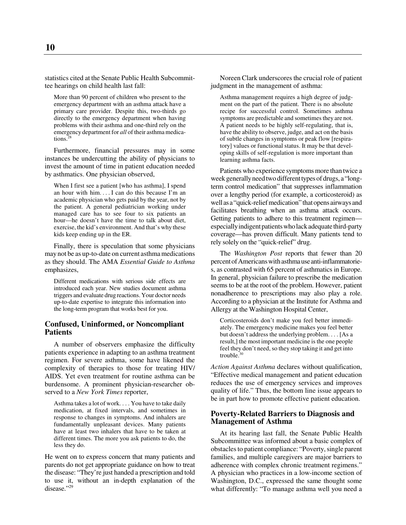statistics cited at the Senate Public Health Subcommittee hearings on child health last fall:

More than 90 percent of children who present to the emergency department with an asthma attack have a primary care provider. Despite this, two-thirds go directly to the emergency department when having problems with their asthma and one-third rely on the emergency department for *all* of their asthma medications.28

Furthermore, financial pressures may in some instances be undercutting the ability of physicians to invest the amount of time in patient education needed by asthmatics. One physician observed,

When I first see a patient [who has asthma], I spend an hour with him. . . . I can do this because I'm an academic physician who gets paid by the year, not by the patient. A general pediatrician working under managed care has to see four to six patients an hour—he doesn't have the time to talk about diet, exercise, the kid's environment. And that's why these kids keep ending up in the ER.

Finally, there is speculation that some physicians may not be as up-to-date on current asthma medications as they should. The AMA *Essential Guide to Asthma* emphasizes,

Different medications with serious side effects are introduced each year. New studies document asthma triggers and evaluate drug reactions. Your doctor needs up-to-date expertise to integrate this information into the long-term program that works best for you.

### **Confused, Uninformed, or Noncompliant Patients**

A number of observers emphasize the difficulty patients experience in adapting to an asthma treatment regimen. For severe asthma, some have likened the complexity of therapies to those for treating HIV/ AIDS. Yet even treatment for routine asthma can be burdensome. A prominent physician-researcher observed to a *New York Times* reporter,

Asthma takes a lot of work. . . . You have to take daily medication, at fixed intervals, and sometimes in response to changes in symptoms. And inhalers are fundamentally unpleasant devices. Many patients have at least two inhalers that have to be taken at different times. The more you ask patients to do, the less they do.

He went on to express concern that many patients and parents do not get appropriate guidance on how to treat the disease: "They're just handed a prescription and told to use it, without an in-depth explanation of the disease."29

Noreen Clark underscores the crucial role of patient judgment in the management of asthma:

Asthma management requires a high degree of judgment on the part of the patient. There is no absolute recipe for successful control. Sometimes asthma symptoms are predictable and sometimes they are not. A patient needs to be highly self-regulating, that is, have the ability to observe, judge, and act on the basis of subtle changes in symptoms or peak flow [respiratory] values or functional status. It may be that developing skills of self-regulation is more important than learning asthma facts.

Patients who experience symptoms more than twice a week generally need two different types of drugs, a "longterm control medication" that suppresses inflammation over a lengthy period (for example, a corticosteroid) as well as a "quick-relief medication" that opens airways and facilitates breathing when an asthma attack occurs. Getting patients to adhere to this treatment regimen especially indigent patients who lack adequate third-party coverage—has proven difficult. Many patients tend to rely solely on the "quick-relief" drug.

The *Washington Post* reports that fewer than 20 percent of Americans with asthma use anti-inflammatories, as contrasted with 65 percent of asthmatics in Europe. In general, physician failure to prescribe the medication seems to be at the root of the problem. However, patient nonadherence to prescriptions may also play a role. According to a physician at the Institute for Asthma and Allergy at the Washington Hospital Center,

Corticosteroids don't make you feel better immediately. The emergency medicine makes you feel better but doesn't address the underlying problem. . . . [As a result,] the most important medicine is the one people feel they don't need, so they stop taking it and get into trouble. $30$ 

*Action Against Asthma* declares without qualification, "Effective medical management and patient education reduces the use of emergency services and improves quality of life." Thus, the bottom line issue appears to be in part how to promote effective patient education.

### **Poverty-Related Barriers to Diagnosis and Management of Asthma**

At its hearing last fall, the Senate Public Health Subcommittee was informed about a basic complex of obstacles to patient compliance: "Poverty, single parent families, and multiple caregivers are major barriers to adherence with complex chronic treatment regimens." A physician who practices in a low-income section of Washington, D.C., expressed the same thought some what differently: "To manage asthma well you need a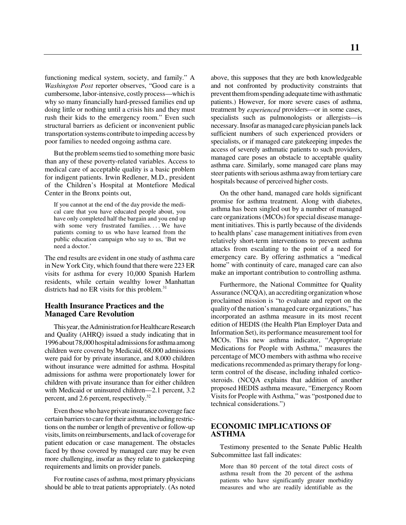functioning medical system, society, and family." A *Washington Post* reporter observes, "Good care is a cumbersome, labor-intensive, costly process—which is why so many financially hard-pressed families end up doing little or nothing until a crisis hits and they must rush their kids to the emergency room." Even such structural barriers as deficient or inconvenient public transportation systems contribute to impeding access by poor families to needed ongoing asthma care.

But the problem seems tied to something more basic than any of these poverty-related variables. Access to medical care of acceptable quality is a basic problem for indigent patients. Irwin Redlener, M.D., president of the Children's Hospital at Montefiore Medical Center in the Bronx points out,

If you cannot at the end of the day provide the medical care that you have educated people about, you have only completed half the bargain and you end up with some very frustrated families.... We have patients coming to us who have learned from the public education campaign who say to us, 'But we need a doctor.'

The end results are evident in one study of asthma care in New York City, which found that there were 223 ER visits for asthma for every 10,000 Spanish Harlem residents, while certain wealthy lower Manhattan districts had no ER visits for this problem.<sup>31</sup>

## **Health Insurance Practices and the Managed Care Revolution**

This year, the Administration for Healthcare Research and Quality (AHRQ) issued a study indicating that in 1996 about 78,000 hospital admissions for asthma among children were covered by Medicaid, 68,000 admissions were paid for by private insurance, and 8,000 children without insurance were admitted for asthma. Hospital admissions for asthma were proportionately lower for children with private insurance than for either children with Medicaid or uninsured children—2.1 percent, 3.2 percent, and 2.6 percent, respectively.<sup>32</sup>

Even those who have private insurance coverage face certain barriers to care for their asthma, including restrictions on the number or length of preventive or follow-up visits, limits on reimbursements, and lack of coverage for patient education or case management. The obstacles faced by those covered by managed care may be even more challenging, insofar as they relate to gatekeeping requirements and limits on provider panels.

For routine cases of asthma, most primary physicians should be able to treat patients appropriately. (As noted

above, this supposes that they are both knowledgeable and not confronted by productivity constraints that prevent them from spending adequate time with asthmatic patients.) However, for more severe cases of asthma, treatment by *experienced* providers—or in some cases, specialists such as pulmonologists or allergists—is necessary. Insofar as managed care physician panels lack sufficient numbers of such experienced providers or specialists, or if managed care gatekeeping impedes the access of severely asthmatic patients to such providers, managed care poses an obstacle to acceptable quality asthma care. Similarly, some managed care plans may steer patients with serious asthma away from tertiary care hospitals because of perceived higher costs.

On the other hand, managed care holds significant promise for asthma treatment. Along with diabetes, asthma has been singled out by a number of managed care organizations (MCOs) for special disease management initiatives. This is partly because of the dividends to health plans' case management initiatives from even relatively short-term interventions to prevent asthma attacks from escalating to the point of a need for emergency care. By offering asthmatics a "medical home" with continuity of care, managed care can also make an important contribution to controlling asthma.

Furthermore, the National Committee for Quality Assurance (NCQA), an accrediting organization whose proclaimed mission is "to evaluate and report on the quality of the nation's managed care organizations," has incorporated an asthma measure in its most recent edition of HEDIS (the Health Plan Employer Data and Information Set), its performance measurement tool for MCOs. This new asthma indicator, "Appropriate Medications for People with Asthma," measures the percentage of MCO members with asthma who receive medications recommended as primary therapy for longterm control of the disease, including inhaled corticosteroids. (NCQA explains that addition of another proposed HEDIS asthma measure, "Emergency Room Visits for People with Asthma," was "postponed due to technical considerations.")

# **ECONOMIC IMPLICATIONS OF ASTHMA**

Testimony presented to the Senate Public Health Subcommittee last fall indicates:

More than 80 percent of the total direct costs of asthma result from the 20 percent of the asthma patients who have significantly greater morbidity measures and who are readily identifiable as the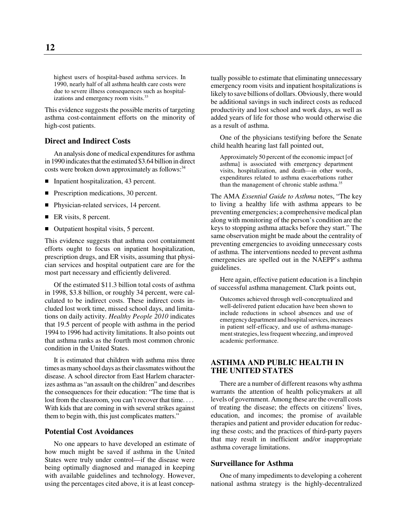highest users of hospital-based asthma services. In 1990, nearly half of all asthma health care costs were due to severe illness consequences such as hospitalizations and emergency room visits.<sup>33</sup>

This evidence suggests the possible merits of targeting asthma cost-containment efforts on the minority of high-cost patients.

#### **Direct and Indirect Costs**

An analysis done of medical expenditures for asthma in 1990 indicates that the estimated \$3.64 billion in direct costs were broken down approximately as follows:<sup>34</sup>

- **Inpatient hospitalization, 43 percent.**
- Prescription medications, 30 percent.
- Physician-related services, 14 percent.
- $\blacksquare$  ER visits, 8 percent.
- Outpatient hospital visits, 5 percent.

This evidence suggests that asthma cost containment efforts ought to focus on inpatient hospitalization, prescription drugs, and ER visits, assuming that physician services and hospital outpatient care are for the most part necessary and efficiently delivered.

Of the estimated \$11.3 billion total costs of asthma in 1998, \$3.8 billion, or roughly 34 percent, were calculated to be indirect costs. These indirect costs included lost work time, missed school days, and limitations on daily activity. *Healthy People 2010* indicates that 19.5 percent of people with asthma in the period 1994 to 1996 had activity limitations. It also points out that asthma ranks as the fourth most common chronic condition in the United States.

It is estimated that children with asthma miss three times as many school days as their classmates without the disease. A school director from East Harlem characterizes asthma as "an assault on the children" and describes the consequences for their education: "The time that is lost from the classroom, you can't recover that time.... With kids that are coming in with several strikes against them to begin with, this just complicates matters."

# **Potential Cost Avoidances**

No one appears to have developed an estimate of how much might be saved if asthma in the United States were truly under control—if the disease were being optimally diagnosed and managed in keeping with available guidelines and technology. However, using the percentages cited above, it is at least conceptually possible to estimate that eliminating unnecessary emergency room visits and inpatient hospitalizations is likely to save billions of dollars. Obviously, there would be additional savings in such indirect costs as reduced productivity and lost school and work days, as well as added years of life for those who would otherwise die as a result of asthma.

One of the physicians testifying before the Senate child health hearing last fall pointed out,

Approximately 50 percent of the economic impact [of asthma] is associated with emergency department visits, hospitalization, and death—in other words, expenditures related to asthma exacerbations rather than the management of chronic stable asthma.<sup>35</sup>

The AMA *Essential Guide to Asthma* notes, "The key to living a healthy life with asthma appears to be preventing emergencies; a comprehensive medical plan along with monitoring of the person's condition are the keys to stopping asthma attacks before they start." The same observation might be made about the centrality of preventing emergencies to avoiding unnecessary costs of asthma. The interventions needed to prevent asthma emergencies are spelled out in the NAEPP's asthma guidelines.

Here again, effective patient education is a linchpin of successful asthma management. Clark points out,

Outcomes achieved through well-conceptualized and well-delivered patient education have been shown to include reductions in school absences and use of emergency department and hospital services, increases in patient self-efficacy, and use of asthma-management strategies, less frequent wheezing, and improved academic performance.

# **ASTHMA AND PUBLIC HEALTH IN THE UNITED STATES**

There are a number of different reasons why asthma warrants the attention of health policymakers at all levels of government. Among these are the overall costs of treating the disease; the effects on citizens' lives, education, and incomes; the promise of available therapies and patient and provider education for reducing these costs; and the practices of third-party payers that may result in inefficient and/or inappropriate asthma coverage limitations.

### **Surveillance for Asthma**

One of many impediments to developing a coherent national asthma strategy is the highly-decentralized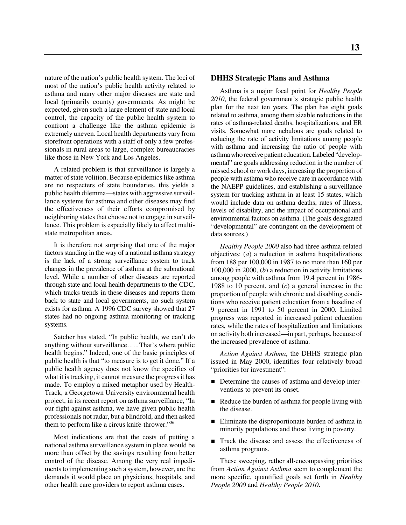nature of the nation's public health system. The loci of most of the nation's public health activity related to asthma and many other major diseases are state and local (primarily county) governments. As might be expected, given such a large element of state and local control, the capacity of the public health system to confront a challenge like the asthma epidemic is extremely uneven. Local health departments vary from storefront operations with a staff of only a few professionals in rural areas to large, complex bureaucracies like those in New York and Los Angeles.

A related problem is that surveillance is largely a matter of state volition. Because epidemics like asthma are no respecters of state boundaries, this yields a public health dilemma—states with aggressive surveillance systems for asthma and other diseases may find the effectiveness of their efforts compromised by neighboring states that choose not to engage in surveillance. This problem is especially likely to affect multistate metropolitan areas.

It is therefore not surprising that one of the major factors standing in the way of a national asthma strategy is the lack of a strong surveillance system to track changes in the prevalence of asthma at the subnational level. While a number of other diseases are reported through state and local health departments to the CDC, which tracks trends in these diseases and reports them back to state and local governments, no such system exists for asthma. A 1996 CDC survey showed that 27 states had no ongoing asthma monitoring or tracking systems.

Satcher has stated, "In public health, we can't do anything without surveillance. . . . That's where public health begins." Indeed, one of the basic principles of public health is that "to measure is to get it done." If a public health agency does not know the specifics of what it is tracking, it cannot measure the progress it has made. To employ a mixed metaphor used by Health-Track, a Georgetown University environmental health project, in its recent report on asthma surveillance, "In our fight against asthma, we have given public health professionals not radar, but a blindfold, and then asked them to perform like a circus knife-thrower."<sup>36</sup>

Most indications are that the costs of putting a national asthma surveillance system in place would be more than offset by the savings resulting from better control of the disease. Among the very real impediments to implementing such a system, however, are the demands it would place on physicians, hospitals, and other health care providers to report asthma cases.

# **DHHS Strategic Plans and Asthma**

Asthma is a major focal point for *Healthy People 2010*, the federal government's strategic public health plan for the next ten years. The plan has eight goals related to asthma, among them sizable reductions in the rates of asthma-related deaths, hospitalizations, and ER visits. Somewhat more nebulous are goals related to reducing the rate of activity limitations among people with asthma and increasing the ratio of people with asthma who receive patient education. Labeled "developmental" are goals addressing reduction in the number of missed school or work days, increasing the proportion of people with asthma who receive care in accordance with the NAEPP guidelines, and establishing a surveillance system for tracking asthma in at least 15 states, which would include data on asthma deaths, rates of illness, levels of disability, and the impact of occupational and environmental factors on asthma. (The goals designated "developmental" are contingent on the development of data sources.)

*Healthy People 2000* also had three asthma-related objectives: (*a*) a reduction in asthma hospitalizations from 188 per 100,000 in 1987 to no more than 160 per 100,000 in 2000, (*b*) a reduction in activity limitations among people with asthma from 19.4 percent in 1986- 1988 to 10 percent, and (*c*) a general increase in the proportion of people with chronic and disabling conditions who receive patient education from a baseline of 9 percent in 1991 to 50 percent in 2000. Limited progress was reported in increased patient education rates, while the rates of hospitalization and limitations on activity both increased—in part, perhaps, because of the increased prevalence of asthma.

*Action Against Asthma*, the DHHS strategic plan issued in May 2000, identifies four relatively broad "priorities for investment":

- Determine the causes of asthma and develop interventions to prevent its onset.
- Reduce the burden of asthma for people living with the disease.
- Eliminate the disproportionate burden of asthma in minority populations and those living in poverty.
- $\blacksquare$  Track the disease and assess the effectiveness of asthma programs.

These sweeping, rather all-encompassing priorities from *Action Against Asthma* seem to complement the more specific, quantified goals set forth in *Healthy People 2000* and *Healthy People 2010*.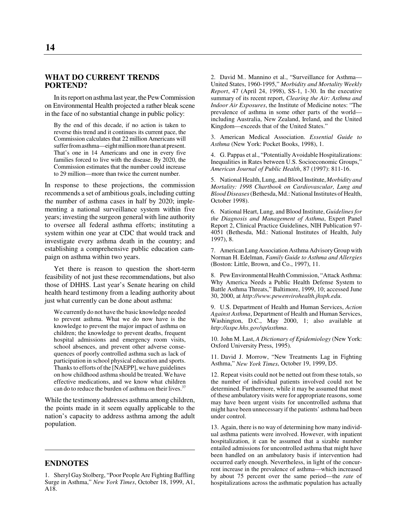## **WHAT DO CURRENT TRENDS PORTEND?**

In its report on asthma last year, the Pew Commission on Environmental Health projected a rather bleak scene in the face of no substantial change in public policy:

By the end of this decade, if no action is taken to reverse this trend and it continues its current pace, the Commission calculates that 22 million Americans will suffer from asthma—eight million more than at present. That's one in 14 Americans and one in every five families forced to live with the disease. By 2020, the Commission estimates that the number could increase to 29 million—more than twice the current number.

In response to these projections, the commission recommends a set of ambitious goals, including cutting the number of asthma cases in half by 2020; implementing a national surveillance system within five years; investing the surgeon general with line authority to oversee all federal asthma efforts; instituting a system within one year at CDC that would track and investigate every asthma death in the country; and establishing a comprehensive public education campaign on asthma within two years.

Yet there is reason to question the short-term feasibility of not just these recommendations, but also those of DHHS. Last year's Senate hearing on child health heard testimony from a leading authority about just what currently can be done about asthma:

We currently do not have the basic knowledge needed to prevent asthma. What we do now have is the knowledge to prevent the major impact of asthma on children; the knowledge to prevent deaths, frequent hospital admissions and emergency room visits, school absences, and prevent other adverse consequences of poorly controlled asthma such as lack of participation in school physical education and sports. Thanks to efforts of the [NAEPP], we have guidelines on how childhood asthma should be treated. We have effective medications, and we know what children can do to reduce the burden of asthma on their lives.<sup>37</sup>

While the testimony addresses asthma among children, the points made in it seem equally applicable to the nation's capacity to address asthma among the adult population.

# **ENDNOTES**

2. David M.. Mannino et al., "Surveillance for Asthma— United States, 1960-1995," *Morbidity and Mortality Weekly Report*, 47 (April 24, 1998), SS-1, 1-30. In the executive summary of its recent report, *Clearing the Air: Asthma and Indoor Air Exposures*, the Institute of Medicine notes: "The prevalence of asthma in some other parts of the world including Australia, New Zealand, Ireland, and the United Kingdom—exceeds that of the United States."

3. American Medical Association. *Essential Guide to Asthma* (New York: Pocket Books, 1998), 1.

4. G. Pappas et al., "Potentially Avoidable Hospitalizations: Inequalities in Rates between U.S. Socioeconomic Groups," *American Journal of Public Health*, 87 (1997): 811-16.

5. National Health, Lung, and Blood Institute, *Morbidity and Mortality: 1998 Chartbook on Cardiovascular, Lung and Blood Diseases* (Bethesda, Md.: National Institutes of Health, October 1998).

6. National Heart, Lung, and Blood Institute, *Guidelines for the Diagnosis and Management of Asthma*, Expert Panel Report 2, Clinical Practice Guidelines, NIH Publication 97- 4051 (Bethesda, Md.: National Institutes of Health, July 1997), 8.

7. American Lung Association Asthma Advisory Group with Norman H. Edelman, *Family Guide to Asthma and Allergies* (Boston: Little, Brown, and Co., 1997), 11.

8. Pew Environmental Health Commission, "Attack Asthma: Why America Needs a Public Health Defense System to Battle Asthma Threats," Baltimore, 1999, 10; accessed June 30, 2000, at *http://www.pewenvirohealth.jhsph.edu*.

9. U.S. Department of Health and Human Services, *Action Against Asthma*, Department of Health and Human Services, Washington, D.C., May 2000, 1; also available at *http://aspe.hhs.gov/sp/asthma*.

10. John M. Last, *A Dictionary of Epidemiology* (New York: Oxford University Press, 1995).

11. David J. Morrow, "New Treatments Lag in Fighting Asthma," *New York Times*, October 19, 1999, D5.

12. Repeat visits could not be netted out from these totals, so the number of individual patients involved could not be determined. Furthermore, while it may be assumed that most of these ambulatory visits were for appropriate reasons, some may have been urgent visits for uncontrolled asthma that might have been unnecessary if the patients' asthma had been under control.

13. Again, there is no way of determining how many individual asthma patients were involved. However, with inpatient hospitalization, it can be assumed that a sizable number entailed admissions for uncontrolled asthma that might have been handled on an ambulatory basis if intervention had occurred early enough. Nevertheless, in light of the concurrent increase in the prevalence of asthma—which increased by about 75 percent over the same period—the *rate* of hospitalizations across the asthmatic population has actually

<sup>1.</sup> Sheryl Gay Stolberg, "Poor People Are Fighting Baffling Surge in Asthma," *New York Times*, October 18, 1999, A1, A18.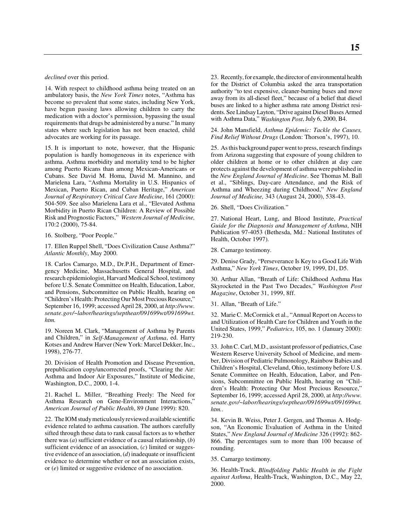*declined* over this period.

14. With respect to childhood asthma being treated on an ambulatory basis, the *New York Times* notes, "Asthma has become so prevalent that some states, including New York, have begun passing laws allowing children to carry the medication with a doctor's permission, bypassing the usual requirements that drugs be administered by a nurse." In many states where such legislation has not been enacted, child advocates are working for its passage.

15. It is important to note, however, that the Hispanic population is hardly homogeneous in its experience with asthma. Asthma morbidity and mortality tend to be higher among Puerto Ricans than among Mexican-Americans or Cubans. See David M. Homa, David M. Mannino, and Marielena Lara, "Asthma Mortality in U.S. Hispanics of Mexican, Puerto Rican, and Cuban Heritage," *American Journal of Respiratory Critical Care Medicine*, 161 (2000): 504-509. See also Marielena Lara et al., "Elevated Asthma Morbidity in Puerto Rican Children: A Review of Possible Risk and Prognostic Factors," *Western Journal of Medicine,* 170:2 (2000), 75-84.

16. Stolberg, "Poor People."

17. Ellen Ruppel Shell, "Does Civilization Cause Asthma?" *Atlantic Monthly*, May 2000.

18. Carlos Camargo, M.D., Dr.P.H., Department of Emergency Medicine, Massachusetts General Hospital, and research epidemiologist, Harvard Medical School, testimony before U.S. Senate Committee on Health, Education, Labor, and Pensions, Subcommittee on Public Health, hearing on "Children's Health: Protecting Our Most Precious Resource," September 16, 1999; accessed April 28, 2000, at *http://www. senate.gov/~labor/hearings/septhear/091699wt/091699wt. htm.*

19. Noreen M. Clark, "Management of Asthma by Parents and Children," in *Self-Management of Asthma*, ed. Harry Kotses and Andrew Harver (New York: Marcel Dekker, Inc., 1998), 276-77.

20. Division of Health Promotion and Disease Prevention, prepublication copy/uncorrected proofs, "Clearing the Air: Asthma and Indoor Air Exposures," Institute of Medicine, Washington, D.C., 2000, 1-4.

21. Rachel L. Miller, "Breathing Freely: The Need for Asthma Research on Gene-Environment Interactions," *American Journal of Public Health*, 89 (June 1999): 820.

22. The IOM study meticulously reviewed available scientific evidence related to asthma causation. The authors carefully sifted through these data to rank causal factors as to whether there was (*a*) sufficient evidence of a causal relationship, (*b*) sufficient evidence of an association, (*c*) limited or suggestive evidence of an association, (*d*) inadequate or insufficient evidence to determine whether or not an association exists, or (*e*) limited or suggestive evidence of no association.

23. Recently, for example, the director of environmental health for the District of Columbia asked the area transportation authority "to test expensive, cleaner-burning buses and move away from its all-diesel fleet," because of a belief that diesel buses are linked to a higher asthma rate among District residents. See Lindsay Layton, "Drive against Diesel Buses Armed with Asthma Data," *Washington Post*, July 6, 2000, B4.

24. John Mansfield, *Asthma Epidemic: Tackle the Causes, Find Relief Without Drugs* (London: Thorson's, 1997), 10.

25. As this background paper went to press, research findings from Arizona suggesting that exposure of young children to older children at home or to other children at day care protects against the development of asthma were published in the *New England Journal of Medicine*. See Thomas M. Ball et al., "Siblings, Day-care Attendance, and the Risk of Asthma and Wheezing during Childhood," *New England Journal of Medicine,* 343 (August 24, 2000), 538-43.

26. Shell, "Does Civilization."

27. National Heart, Lung, and Blood Institute, *Practical Guide for the Diagnosis and Management of Asthma*, NIH Publication 97-4053 (Bethesda, Md.: National Institutes of Health, October 1997).

28. Camargo testimony.

29. Denise Grady, "Perseverance Is Key to a Good Life With Asthma," *New York Times*, October 19, 1999, D1, D5.

30. Arthur Allan, "Breath of Life: Childhood Asthma Has Skyrocketed in the Past Two Decades," *Washington Post Magazine*, October 31, 1999, 8ff.

31. Allan, "Breath of Life."

32. Marie C. McCormick et al., "Annual Report on Access to and Utilization of Health Care for Children and Youth in the United States, 1999," *Pediatrics*, 105, no. 1 (January 2000): 219-230.

33. John C. Carl, M.D., assistant professor of pediatrics, Case Western Reserve University School of Medicine, and member, Division of Pediatric Pulmonology, Rainbow Babies and Children's Hospital, Cleveland, Ohio, testimony before U.S. Senate Committee on Health, Education, Labor, and Pensions, Subcommittee on Public Health, hearing on "Children's Health: Protecting Our Most Precious Resource," September 16, 1999; accessed April 28, 2000, at *http://www. senate.gov/~labor/hearings/septhear/091699wt/091699wt. htm.*.

34. Kevin B. Weiss, Peter J. Gergen, and Thomas A. Hodgson, "An Economic Evaluation of Asthma in the United States," *New England Journal of Medicine* 326 (1992): 862- 866. The percentages sum to more than 100 because of rounding.

35. Camargo testimony.

36. Health-Track, *Blindfolding Public Health in the Fight against Asthma*, Health-Track, Washington, D.C., May 22, 2000.